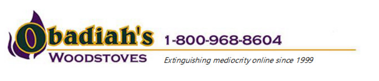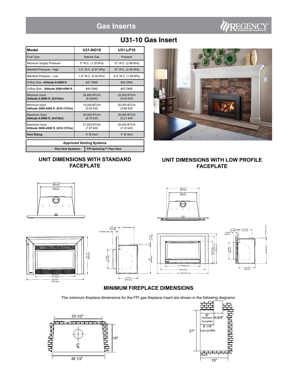# **Gas Inserts**



## **U31-10 Gas Insert**

| <b>Model</b>                                        | <b>U31-NG10</b>                     |                         | U31-LP10                            |  |
|-----------------------------------------------------|-------------------------------------|-------------------------|-------------------------------------|--|
| Fuel Type                                           | Natural Gas                         |                         | Propane                             |  |
| Minimum Supply Pressure                             | 5" W.C. (1.25 kPa)                  |                         | 12" W.C. (2.99 kPa)                 |  |
| Manifold Pressure - High                            |                                     | 3.5" W.C. (0.87 kPa)    | 10" W.C. (2.49 kPa)                 |  |
| Manifold Pressure - Low                             |                                     | 1.6" W.C. (0.40 kPa)    | 6.4" W.C. (1.59 kPa)                |  |
| Orifice Size - Altitude 0-2000 ft.                  | #37 DMS                             |                         | #52 DMS                             |  |
| Orifice Size - Altitude 2000-4500 ft.               | #40 DMS                             |                         | #53 DMS                             |  |
| Minimum Input<br>Altitude 0-2000 ft. (0-610m)       | 20,600 BTU/h<br>(6.04kW)            |                         | 22,000 BTU/h<br>$(6.45 \text{ kW})$ |  |
| Minimum Input<br>Altitude 2000-4500 ft. (610-1372m) | 19.200 BTU/h<br>$(5.62 \text{ kW})$ |                         | 20.000 BTU/h<br>$(5.86 \text{ kW})$ |  |
| Maximum Input<br>Altitude 0-2000 ft. (0-610m)       | 30,000 BTU/h<br>$(8.79$ kW)         |                         | 28,000 BTU/h<br>$(8.21 \text{ kW})$ |  |
| Maximum Input<br>Altitude 2000-4500 ft. (610-1372m) | 27.200 BTU/h<br>(7.97 kW)           |                         | 25.000 BTU/h<br>$(7.33 \text{ kW})$ |  |
| <b>Vent Sizing</b>                                  | 4" R-Vent                           |                         | 4" R-Vent                           |  |
| <b>Approved Venting Systems</b>                     |                                     |                         |                                     |  |
| <b>Flex Vent Systems:</b>                           |                                     | FPI AstroCap™ Flex Vent |                                     |  |

### **UNIT DIMENSIONS WITH STANDARD FACEPLATE**



### **UNIT DIMENSIONS WITH LOW PROFILE FACEPLATE**



The minimum fireplace dimensions for the FPI gas fireplace insert are shown in the following diagrams:



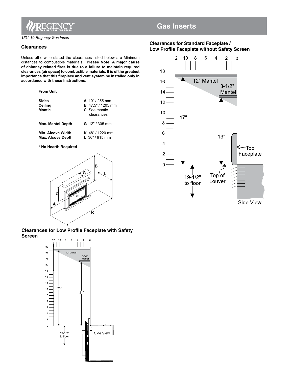

*U31-10 Regency Gas Insert*

**From Unit**

#### **Clearances**

Unless otherwise stated the clearances listed below are Minimum distances to combustible materials. **Please Note: A major cause of chimney related fires is due to a failure to maintain required clearances (air space) to combustible materials. It is of the greatest importance that this fireplace and vent system be installed only in accordance with these instructions.**

| <b>Sides</b><br>Ceiling<br><b>Mantle</b>             | $A$ 10" / 255 mm<br><b>B</b> 47.5" / 1205 mm<br>C. See mantle<br>clearances |
|------------------------------------------------------|-----------------------------------------------------------------------------|
| <b>Max. Mantel Depth</b>                             | <b>G</b> 12" / 305 mm                                                       |
| <b>Min. Alcove Width</b><br><b>Max. Alcove Depth</b> | <b>K</b> 48" / 1220 mm<br>L $36" / 915$ mm                                  |

**\* No Hearth Required**



**Clearances for Low Profile Faceplate with Safety Screen**



## **Gas Inserts**

### **Clearances for Standard Faceplate / Low Profile Faceplate without Safety Screen**